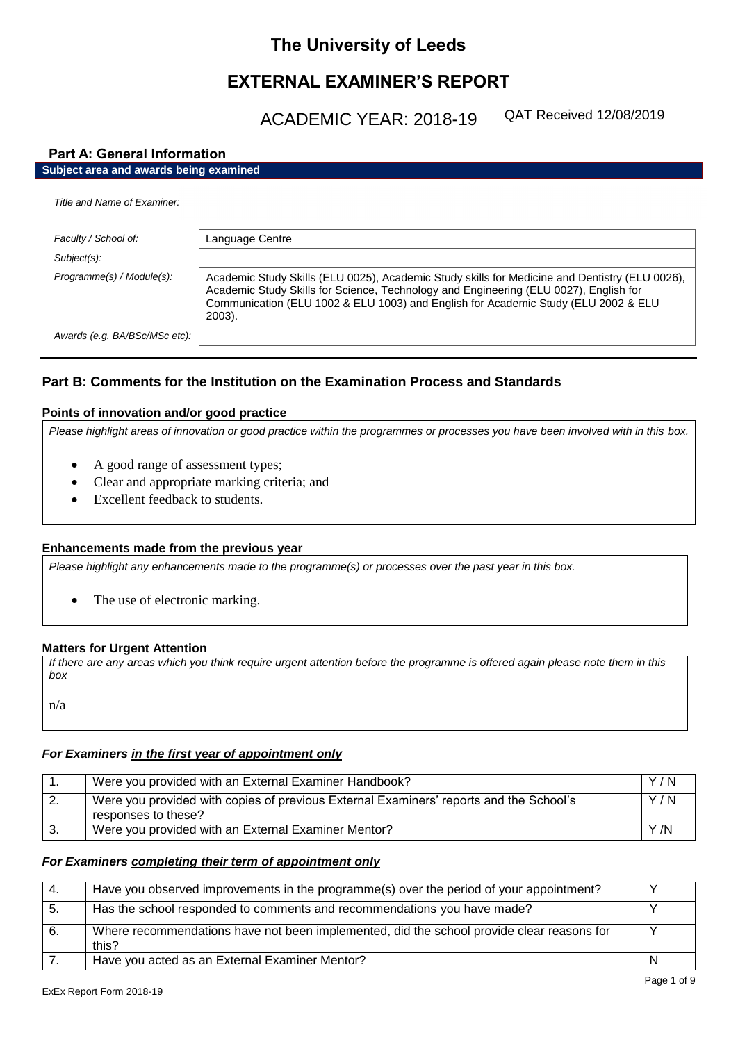# **The University of Leeds**

# **EXTERNAL EXAMINER'S REPORT**

ACADEMIC YEAR: 2018-19

QAT Received 12/08/2019

# **Part A: General Information**

# **Subject area and awards being examined**

| Title and Name of Examiner:   |                                                                                                                                                                                                                                                                                         |
|-------------------------------|-----------------------------------------------------------------------------------------------------------------------------------------------------------------------------------------------------------------------------------------------------------------------------------------|
| Faculty / School of:          | Language Centre                                                                                                                                                                                                                                                                         |
| Subject(s):                   |                                                                                                                                                                                                                                                                                         |
| Programme(s) / Module(s):     | Academic Study Skills (ELU 0025), Academic Study skills for Medicine and Dentistry (ELU 0026),<br>Academic Study Skills for Science, Technology and Engineering (ELU 0027), English for<br>Communication (ELU 1002 & ELU 1003) and English for Academic Study (ELU 2002 & ELU<br>2003). |
| Awards (e.g. BA/BSc/MSc etc): |                                                                                                                                                                                                                                                                                         |
|                               |                                                                                                                                                                                                                                                                                         |

# **Part B: Comments for the Institution on the Examination Process and Standards**

## **Points of innovation and/or good practice**

*Please highlight areas of innovation or good practice within the programmes or processes you have been involved with in this box.*

- A good range of assessment types;
- Clear and appropriate marking criteria; and
- Excellent feedback to students.

### **Enhancements made from the previous year**

*Please highlight any enhancements made to the programme(s) or processes over the past year in this box.*

• The use of electronic marking.

### **Matters for Urgent Attention**

*If there are any areas which you think require urgent attention before the programme is offered again please note them in this box*

n/a

# *For Examiners in the first year of appointment only*

|     | Were you provided with an External Examiner Handbook?                                                         | Y/N  |
|-----|---------------------------------------------------------------------------------------------------------------|------|
| -2. | Were you provided with copies of previous External Examiners' reports and the School's<br>responses to these? | Y/N  |
|     | Were you provided with an External Examiner Mentor?                                                           | Y /N |

### *For Examiners completing their term of appointment only*

| $\mathbf{A}$ | Have you observed improvements in the programme(s) over the period of your appointment?            |  |
|--------------|----------------------------------------------------------------------------------------------------|--|
| 5.           | Has the school responded to comments and recommendations you have made?                            |  |
| 6.           | Where recommendations have not been implemented, did the school provide clear reasons for<br>this? |  |
|              | Have you acted as an External Examiner Mentor?                                                     |  |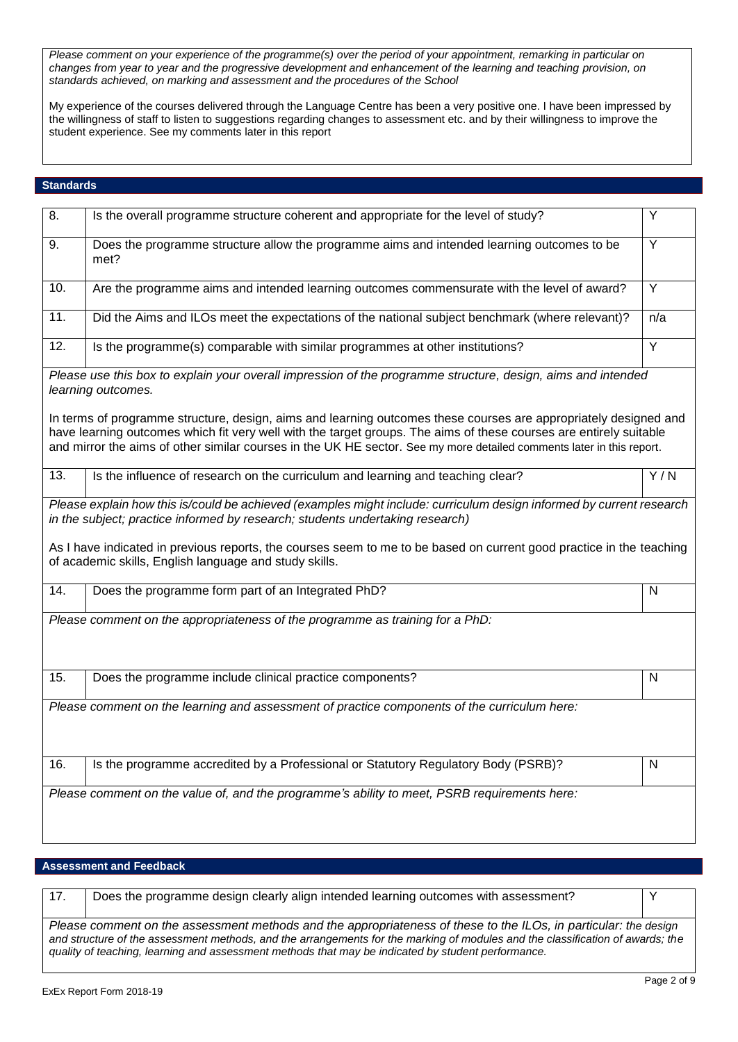*Please comment on your experience of the programme(s) over the period of your appointment, remarking in particular on changes from year to year and the progressive development and enhancement of the learning and teaching provision, on standards achieved, on marking and assessment and the procedures of the School*

My experience of the courses delivered through the Language Centre has been a very positive one. I have been impressed by the willingness of staff to listen to suggestions regarding changes to assessment etc. and by their willingness to improve the student experience. See my comments later in this report

## **Standards**

| 8.                | Is the overall programme structure coherent and appropriate for the level of study?                                                                                                                                                                                                                                                                             | Y                       |
|-------------------|-----------------------------------------------------------------------------------------------------------------------------------------------------------------------------------------------------------------------------------------------------------------------------------------------------------------------------------------------------------------|-------------------------|
| 9.                | Does the programme structure allow the programme aims and intended learning outcomes to be<br>met?                                                                                                                                                                                                                                                              | $\overline{Y}$          |
| 10.               | Are the programme aims and intended learning outcomes commensurate with the level of award?                                                                                                                                                                                                                                                                     | Y                       |
| $\overline{11}$ . | Did the Aims and ILOs meet the expectations of the national subject benchmark (where relevant)?                                                                                                                                                                                                                                                                 | n/a                     |
| 12.               | Is the programme(s) comparable with similar programmes at other institutions?                                                                                                                                                                                                                                                                                   | Y                       |
|                   | Please use this box to explain your overall impression of the programme structure, design, aims and intended<br>learning outcomes.                                                                                                                                                                                                                              |                         |
|                   | In terms of programme structure, design, aims and learning outcomes these courses are appropriately designed and<br>have learning outcomes which fit very well with the target groups. The aims of these courses are entirely suitable<br>and mirror the aims of other similar courses in the UK HE sector. See my more detailed comments later in this report. |                         |
| 13.               | Is the influence of research on the curriculum and learning and teaching clear?                                                                                                                                                                                                                                                                                 | $\overline{Y/N}$        |
|                   | in the subject; practice informed by research; students undertaking research)<br>As I have indicated in previous reports, the courses seem to me to be based on current good practice in the teaching<br>of academic skills, English language and study skills.                                                                                                 |                         |
| 14.               | Does the programme form part of an Integrated PhD?                                                                                                                                                                                                                                                                                                              | N                       |
|                   | Please comment on the appropriateness of the programme as training for a PhD:                                                                                                                                                                                                                                                                                   |                         |
| 15.               | Does the programme include clinical practice components?                                                                                                                                                                                                                                                                                                        | $\mathsf{N}$            |
|                   | Please comment on the learning and assessment of practice components of the curriculum here:                                                                                                                                                                                                                                                                    |                         |
| 16.               | Is the programme accredited by a Professional or Statutory Regulatory Body (PSRB)?                                                                                                                                                                                                                                                                              | $\overline{\mathsf{N}}$ |
|                   | Please comment on the value of, and the programme's ability to meet, PSRB requirements here:                                                                                                                                                                                                                                                                    |                         |

## **Assessment and Feedback**

17. | Does the programme design clearly align intended learning outcomes with assessment? *Please comment on the assessment methods and the appropriateness of these to the ILOs, in particular: the design and structure of the assessment methods, and the arrangements for the marking of modules and the classification of awards; the quality of teaching, learning and assessment methods that may be indicated by student performance.*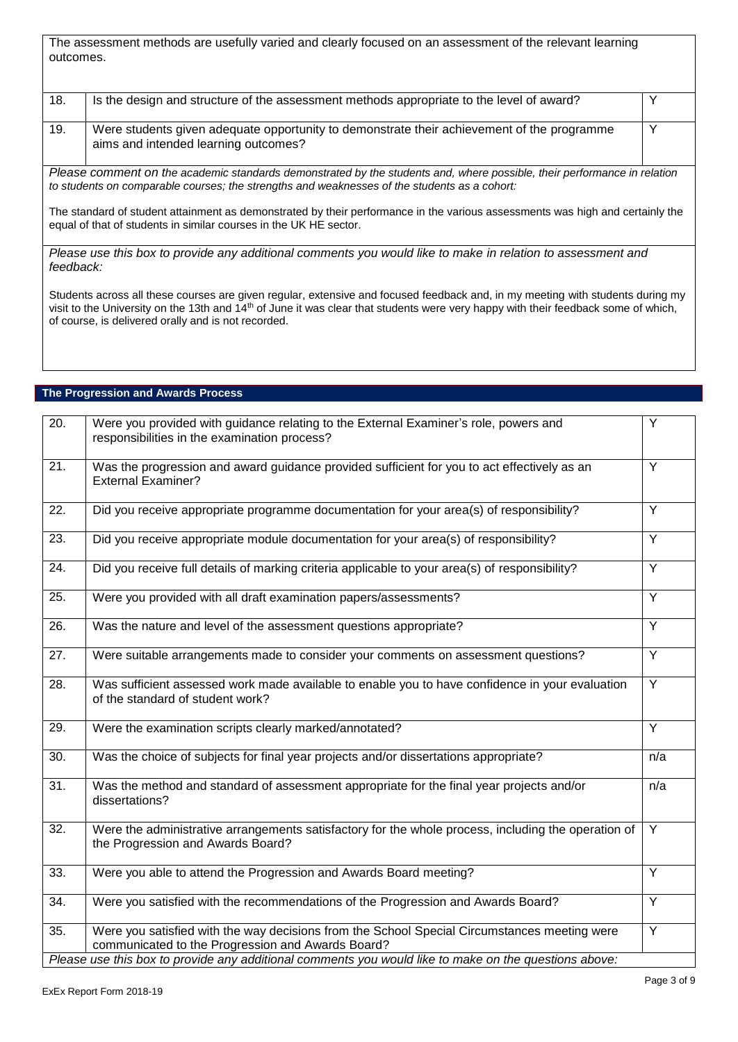The assessment methods are usefully varied and clearly focused on an assessment of the relevant learning outcomes.

| 18. | Is the design and structure of the assessment methods appropriate to the level of award?                                           |  |
|-----|------------------------------------------------------------------------------------------------------------------------------------|--|
| 19. | Were students given adequate opportunity to demonstrate their achievement of the programme<br>aims and intended learning outcomes? |  |

*Please comment on the academic standards demonstrated by the students and, where possible, their performance in relation to students on comparable courses; the strengths and weaknesses of the students as a cohort:*

The standard of student attainment as demonstrated by their performance in the various assessments was high and certainly the equal of that of students in similar courses in the UK HE sector.

*Please use this box to provide any additional comments you would like to make in relation to assessment and feedback:*

Students across all these courses are given regular, extensive and focused feedback and, in my meeting with students during my visit to the University on the 13th and 14th of June it was clear that students were very happy with their feedback some of which, of course, is delivered orally and is not recorded.

| The Progression and Awards Process |  |
|------------------------------------|--|
|------------------------------------|--|

| $\overline{20}$ . | Were you provided with guidance relating to the External Examiner's role, powers and<br>responsibilities in the examination process?              | Y              |
|-------------------|---------------------------------------------------------------------------------------------------------------------------------------------------|----------------|
| 21.               | Was the progression and award guidance provided sufficient for you to act effectively as an<br><b>External Examiner?</b>                          | Y              |
| 22.               | Did you receive appropriate programme documentation for your area(s) of responsibility?                                                           | $\overline{Y}$ |
| 23.               | Did you receive appropriate module documentation for your area(s) of responsibility?                                                              | Y              |
| 24.               | Did you receive full details of marking criteria applicable to your area(s) of responsibility?                                                    | $\overline{Y}$ |
| $\overline{25}$ . | Were you provided with all draft examination papers/assessments?                                                                                  | $\overline{Y}$ |
| 26.               | Was the nature and level of the assessment questions appropriate?                                                                                 | Y              |
| 27.               | Were suitable arrangements made to consider your comments on assessment questions?                                                                | $\overline{Y}$ |
| 28.               | Was sufficient assessed work made available to enable you to have confidence in your evaluation<br>of the standard of student work?               | $\overline{Y}$ |
| 29.               | Were the examination scripts clearly marked/annotated?                                                                                            | $\overline{Y}$ |
| $\overline{30}$ . | Was the choice of subjects for final year projects and/or dissertations appropriate?                                                              | n/a            |
| 31.               | Was the method and standard of assessment appropriate for the final year projects and/or<br>dissertations?                                        | n/a            |
| 32.               | Were the administrative arrangements satisfactory for the whole process, including the operation of<br>the Progression and Awards Board?          | $\overline{Y}$ |
| 33.               | Were you able to attend the Progression and Awards Board meeting?                                                                                 | $\overline{Y}$ |
| 34.               | Were you satisfied with the recommendations of the Progression and Awards Board?                                                                  | $\overline{Y}$ |
| $\overline{35}$ . | Were you satisfied with the way decisions from the School Special Circumstances meeting were<br>communicated to the Progression and Awards Board? | $\overline{Y}$ |
|                   | Please use this box to provide any additional comments you would like to make on the questions above:                                             |                |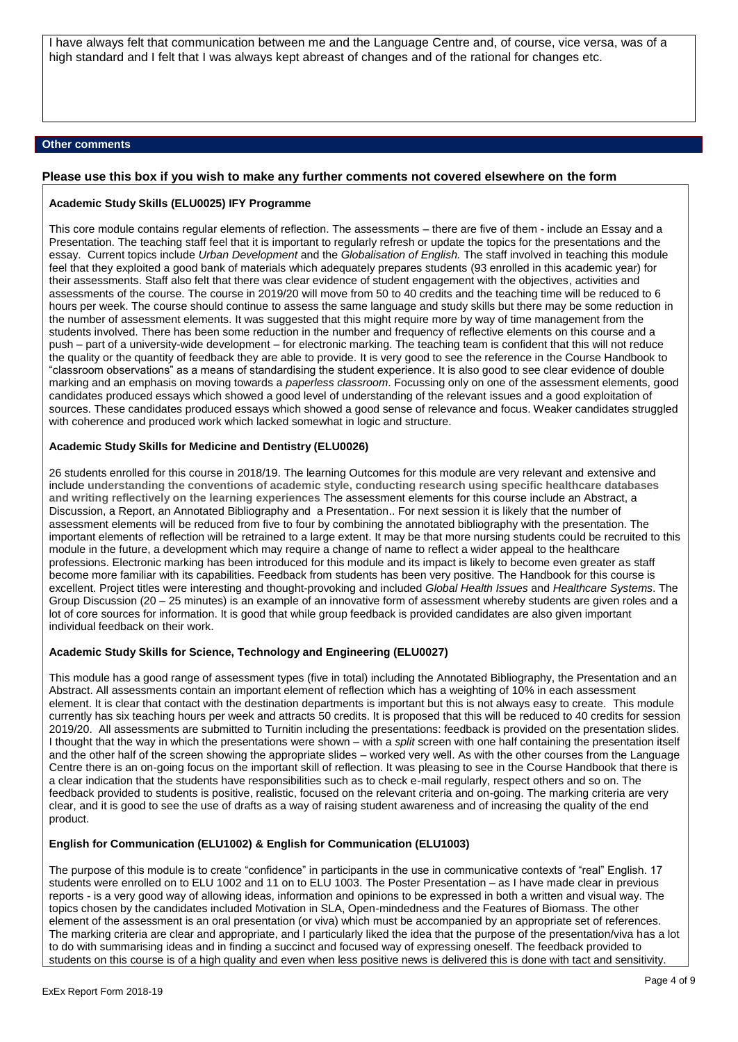I have always felt that communication between me and the Language Centre and, of course, vice versa, was of a high standard and I felt that I was always kept abreast of changes and of the rational for changes etc.

### **Other comments**

#### **Please use this box if you wish to make any further comments not covered elsewhere on the form**

#### **Academic Study Skills (ELU0025) IFY Programme**

This core module contains regular elements of reflection. The assessments – there are five of them - include an Essay and a Presentation. The teaching staff feel that it is important to regularly refresh or update the topics for the presentations and the essay. Current topics include *Urban Development* and the *Globalisation of English.* The staff involved in teaching this module feel that they exploited a good bank of materials which adequately prepares students (93 enrolled in this academic year) for their assessments. Staff also felt that there was clear evidence of student engagement with the objectives, activities and assessments of the course. The course in 2019/20 will move from 50 to 40 credits and the teaching time will be reduced to 6 hours per week. The course should continue to assess the same language and study skills but there may be some reduction in the number of assessment elements. It was suggested that this might require more by way of time management from the students involved. There has been some reduction in the number and frequency of reflective elements on this course and a push – part of a university-wide development – for electronic marking. The teaching team is confident that this will not reduce the quality or the quantity of feedback they are able to provide. It is very good to see the reference in the Course Handbook to "classroom observations" as a means of standardising the student experience. It is also good to see clear evidence of double marking and an emphasis on moving towards a *paperless classroom*. Focussing only on one of the assessment elements, good candidates produced essays which showed a good level of understanding of the relevant issues and a good exploitation of sources. These candidates produced essays which showed a good sense of relevance and focus. Weaker candidates struggled with coherence and produced work which lacked somewhat in logic and structure.

### **Academic Study Skills for Medicine and Dentistry (ELU0026)**

26 students enrolled for this course in 2018/19. The learning Outcomes for this module are very relevant and extensive and include **understanding the conventions of academic style, conducting research using specific healthcare databases and writing reflectively on the learning experiences** The assessment elements for this course include an Abstract, a Discussion, a Report, an Annotated Bibliography and a Presentation.. For next session it is likely that the number of assessment elements will be reduced from five to four by combining the annotated bibliography with the presentation. The important elements of reflection will be retrained to a large extent. It may be that more nursing students could be recruited to this module in the future, a development which may require a change of name to reflect a wider appeal to the healthcare professions. Electronic marking has been introduced for this module and its impact is likely to become even greater as staff become more familiar with its capabilities. Feedback from students has been very positive. The Handbook for this course is excellent. Project titles were interesting and thought-provoking and included *Global Health Issues* and *Healthcare Systems*. The Group Discussion (20 – 25 minutes) is an example of an innovative form of assessment whereby students are given roles and a lot of core sources for information. It is good that while group feedback is provided candidates are also given important individual feedback on their work.

### **Academic Study Skills for Science, Technology and Engineering (ELU0027)**

This module has a good range of assessment types (five in total) including the Annotated Bibliography, the Presentation and an Abstract. All assessments contain an important element of reflection which has a weighting of 10% in each assessment element. It is clear that contact with the destination departments is important but this is not always easy to create. This module currently has six teaching hours per week and attracts 50 credits. It is proposed that this will be reduced to 40 credits for session 2019/20. All assessments are submitted to Turnitin including the presentations: feedback is provided on the presentation slides. I thought that the way in which the presentations were shown – with a *split* screen with one half containing the presentation itself and the other half of the screen showing the appropriate slides – worked very well. As with the other courses from the Language Centre there is an on-going focus on the important skill of reflection. It was pleasing to see in the Course Handbook that there is a clear indication that the students have responsibilities such as to check e-mail regularly, respect others and so on. The feedback provided to students is positive, realistic, focused on the relevant criteria and on-going. The marking criteria are very clear, and it is good to see the use of drafts as a way of raising student awareness and of increasing the quality of the end product.

### **English for Communication (ELU1002) & English for Communication (ELU1003)**

The purpose of this module is to create "confidence" in participants in the use in communicative contexts of "real" English. 17 students were enrolled on to ELU 1002 and 11 on to ELU 1003. The Poster Presentation – as I have made clear in previous reports - is a very good way of allowing ideas, information and opinions to be expressed in both a written and visual way. The topics chosen by the candidates included Motivation in SLA, Open-mindedness and the Features of Biomass. The other element of the assessment is an oral presentation (or viva) which must be accompanied by an appropriate set of references. The marking criteria are clear and appropriate, and I particularly liked the idea that the purpose of the presentation/viva has a lot to do with summarising ideas and in finding a succinct and focused way of expressing oneself. The feedback provided to students on this course is of a high quality and even when less positive news is delivered this is done with tact and sensitivity.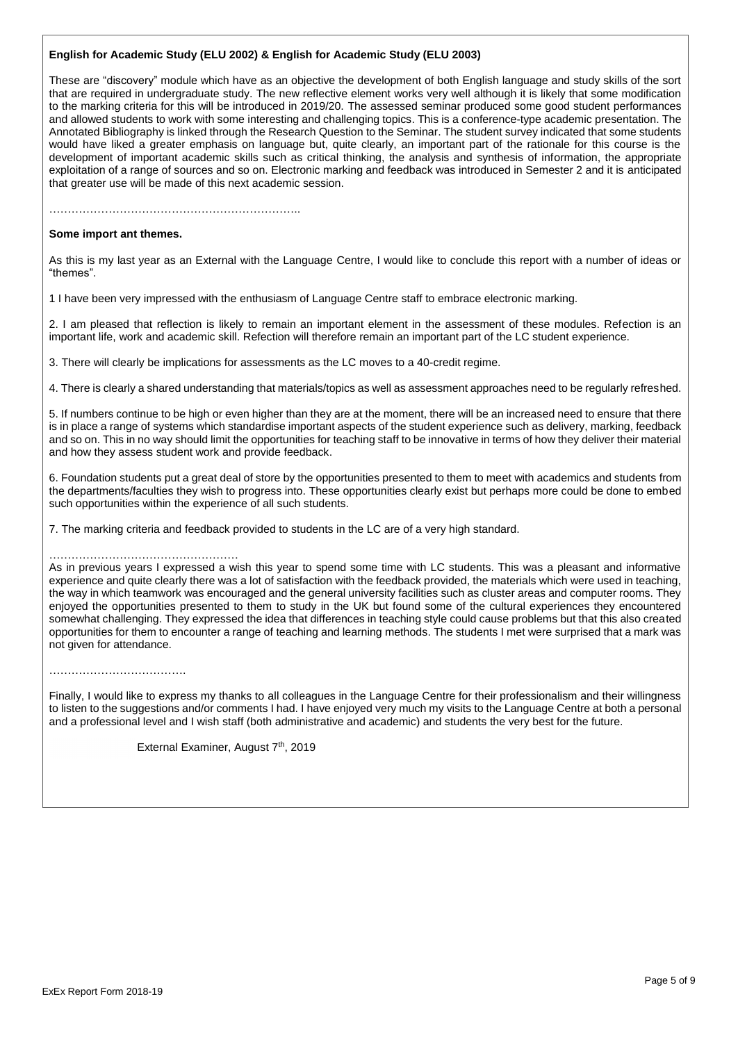### **English for Academic Study (ELU 2002) & English for Academic Study (ELU 2003)**

These are "discovery" module which have as an objective the development of both English language and study skills of the sort that are required in undergraduate study. The new reflective element works very well although it is likely that some modification to the marking criteria for this will be introduced in 2019/20. The assessed seminar produced some good student performances and allowed students to work with some interesting and challenging topics. This is a conference-type academic presentation. The Annotated Bibliography is linked through the Research Question to the Seminar. The student survey indicated that some students would have liked a greater emphasis on language but, quite clearly, an important part of the rationale for this course is the development of important academic skills such as critical thinking, the analysis and synthesis of information, the appropriate exploitation of a range of sources and so on. Electronic marking and feedback was introduced in Semester 2 and it is anticipated that greater use will be made of this next academic session.

…………………………………………………………..

#### **Some import ant themes.**

As this is my last year as an External with the Language Centre, I would like to conclude this report with a number of ideas or "themes".

1 I have been very impressed with the enthusiasm of Language Centre staff to embrace electronic marking.

2. I am pleased that reflection is likely to remain an important element in the assessment of these modules. Refection is an important life, work and academic skill. Refection will therefore remain an important part of the LC student experience.

3. There will clearly be implications for assessments as the LC moves to a 40-credit regime.

4. There is clearly a shared understanding that materials/topics as well as assessment approaches need to be regularly refreshed.

5. If numbers continue to be high or even higher than they are at the moment, there will be an increased need to ensure that there is in place a range of systems which standardise important aspects of the student experience such as delivery, marking, feedback and so on. This in no way should limit the opportunities for teaching staff to be innovative in terms of how they deliver their material and how they assess student work and provide feedback.

6. Foundation students put a great deal of store by the opportunities presented to them to meet with academics and students from the departments/faculties they wish to progress into. These opportunities clearly exist but perhaps more could be done to embed such opportunities within the experience of all such students.

7. The marking criteria and feedback provided to students in the LC are of a very high standard.

#### ……………………………………………

As in previous years I expressed a wish this year to spend some time with LC students. This was a pleasant and informative experience and quite clearly there was a lot of satisfaction with the feedback provided, the materials which were used in teaching, the way in which teamwork was encouraged and the general university facilities such as cluster areas and computer rooms. They enjoyed the opportunities presented to them to study in the UK but found some of the cultural experiences they encountered somewhat challenging. They expressed the idea that differences in teaching style could cause problems but that this also created opportunities for them to encounter a range of teaching and learning methods. The students I met were surprised that a mark was not given for attendance.

………………………………………

Finally, I would like to express my thanks to all colleagues in the Language Centre for their professionalism and their willingness to listen to the suggestions and/or comments I had. I have enjoyed very much my visits to the Language Centre at both a personal and a professional level and I wish staff (both administrative and academic) and students the very best for the future.

External Examiner, August 7<sup>th</sup>, 2019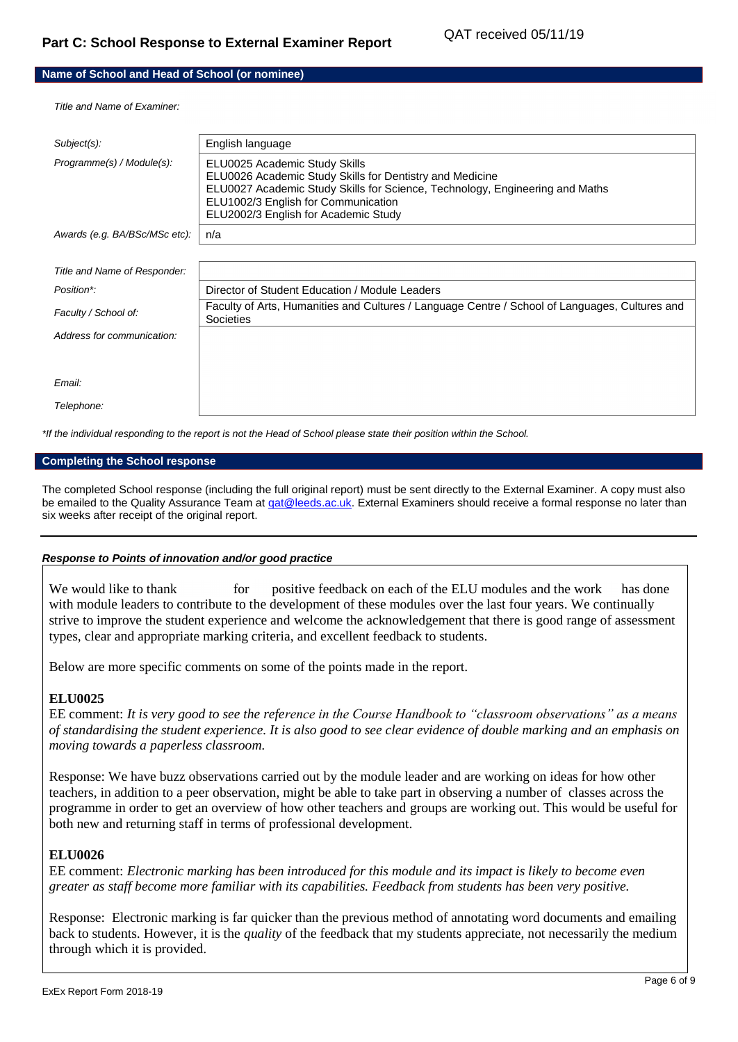## **Name of School and Head of School (or nominee)**

*Title and Name of Examiner:*

| Subject(s):                   | English language                                                                                                                                                                                                                                         |
|-------------------------------|----------------------------------------------------------------------------------------------------------------------------------------------------------------------------------------------------------------------------------------------------------|
| Programme(s) / Module(s):     | ELU0025 Academic Study Skills<br>ELU0026 Academic Study Skills for Dentistry and Medicine<br>ELU0027 Academic Study Skills for Science, Technology, Engineering and Maths<br>ELU1002/3 English for Communication<br>ELU2002/3 English for Academic Study |
| Awards (e.g. BA/BSc/MSc etc): | n/a                                                                                                                                                                                                                                                      |
|                               |                                                                                                                                                                                                                                                          |
| Title and Name of Responder:  |                                                                                                                                                                                                                                                          |
| Position*:                    | Director of Student Education / Module Leaders                                                                                                                                                                                                           |
| Faculty / School of:          | Faculty of Arts, Humanities and Cultures / Language Centre / School of Languages, Cultures and<br>Societies                                                                                                                                              |
| Address for communication:    |                                                                                                                                                                                                                                                          |
|                               |                                                                                                                                                                                                                                                          |
| Email:                        |                                                                                                                                                                                                                                                          |
| Telephone:                    |                                                                                                                                                                                                                                                          |

*\*If the individual responding to the report is not the Head of School please state their position within the School.*

### **Completing the School response**

The completed School response (including the full original report) must be sent directly to the External Examiner. A copy must also be emailed to the Quality Assurance Team at gat@leeds.ac.uk. External Examiners should receive a formal response no later than six weeks after receipt of the original report.

### *Response to Points of innovation and/or good practice*

We would like to thank for positive feedback on each of the ELU modules and the work has done with module leaders to contribute to the development of these modules over the last four years. We continually strive to improve the student experience and welcome the acknowledgement that there is good range of assessment types, clear and appropriate marking criteria, and excellent feedback to students.

Below are more specific comments on some of the points made in the report.

# **ELU0025**

EE comment: *It is very good to see the reference in the Course Handbook to "classroom observations" as a means of standardising the student experience. It is also good to see clear evidence of double marking and an emphasis on moving towards a paperless classroom.*

Response: We have buzz observations carried out by the module leader and are working on ideas for how other teachers, in addition to a peer observation, might be able to take part in observing a number of classes across the programme in order to get an overview of how other teachers and groups are working out. This would be useful for both new and returning staff in terms of professional development.

### **ELU0026**

EE comment: *Electronic marking has been introduced for this module and its impact is likely to become even greater as staff become more familiar with its capabilities. Feedback from students has been very positive.*

Response: Electronic marking is far quicker than the previous method of annotating word documents and emailing back to students. However, it is the *quality* of the feedback that my students appreciate, not necessarily the medium through which it is provided.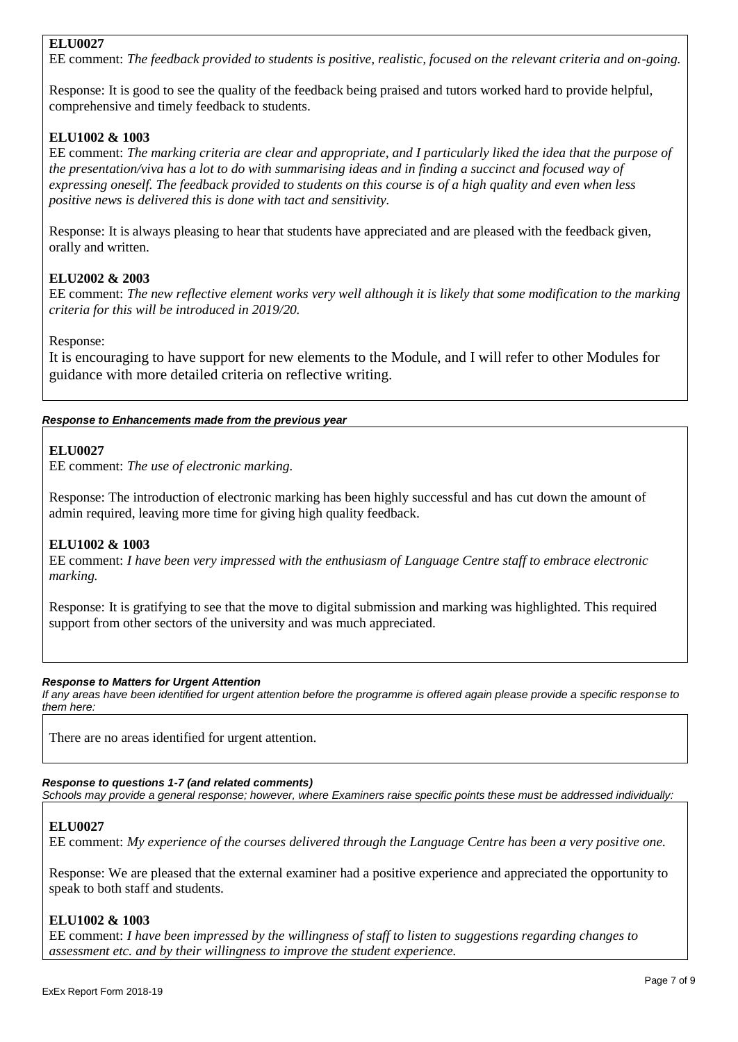# **ELU0027**

EE comment: *The feedback provided to students is positive, realistic, focused on the relevant criteria and on-going.*

Response: It is good to see the quality of the feedback being praised and tutors worked hard to provide helpful, comprehensive and timely feedback to students.

# **ELU1002 & 1003**

EE comment: *The marking criteria are clear and appropriate, and I particularly liked the idea that the purpose of the presentation/viva has a lot to do with summarising ideas and in finding a succinct and focused way of expressing oneself. The feedback provided to students on this course is of a high quality and even when less positive news is delivered this is done with tact and sensitivity.* 

Response: It is always pleasing to hear that students have appreciated and are pleased with the feedback given, orally and written.

# **ELU2002 & 2003**

EE comment: *The new reflective element works very well although it is likely that some modification to the marking criteria for this will be introduced in 2019/20.*

Response:

It is encouraging to have support for new elements to the Module, and I will refer to other Modules for guidance with more detailed criteria on reflective writing.

# *Response to Enhancements made from the previous year*

# **ELU0027**

EE comment: *The use of electronic marking.*

Response: The introduction of electronic marking has been highly successful and has cut down the amount of admin required, leaving more time for giving high quality feedback.

# **ELU1002 & 1003**

EE comment: *I have been very impressed with the enthusiasm of Language Centre staff to embrace electronic marking.*

Response: It is gratifying to see that the move to digital submission and marking was highlighted. This required support from other sectors of the university and was much appreciated.

# *Response to Matters for Urgent Attention*

*If any areas have been identified for urgent attention before the programme is offered again please provide a specific response to them here:*

There are no areas identified for urgent attention.

# *Response to questions 1-7 (and related comments)*

*Schools may provide a general response; however, where Examiners raise specific points these must be addressed individually:*

# **ELU0027**

EE comment: *My experience of the courses delivered through the Language Centre has been a very positive one.* 

Response: We are pleased that the external examiner had a positive experience and appreciated the opportunity to speak to both staff and students.

# **ELU1002 & 1003**

EE comment: *I have been impressed by the willingness of staff to listen to suggestions regarding changes to assessment etc. and by their willingness to improve the student experience.*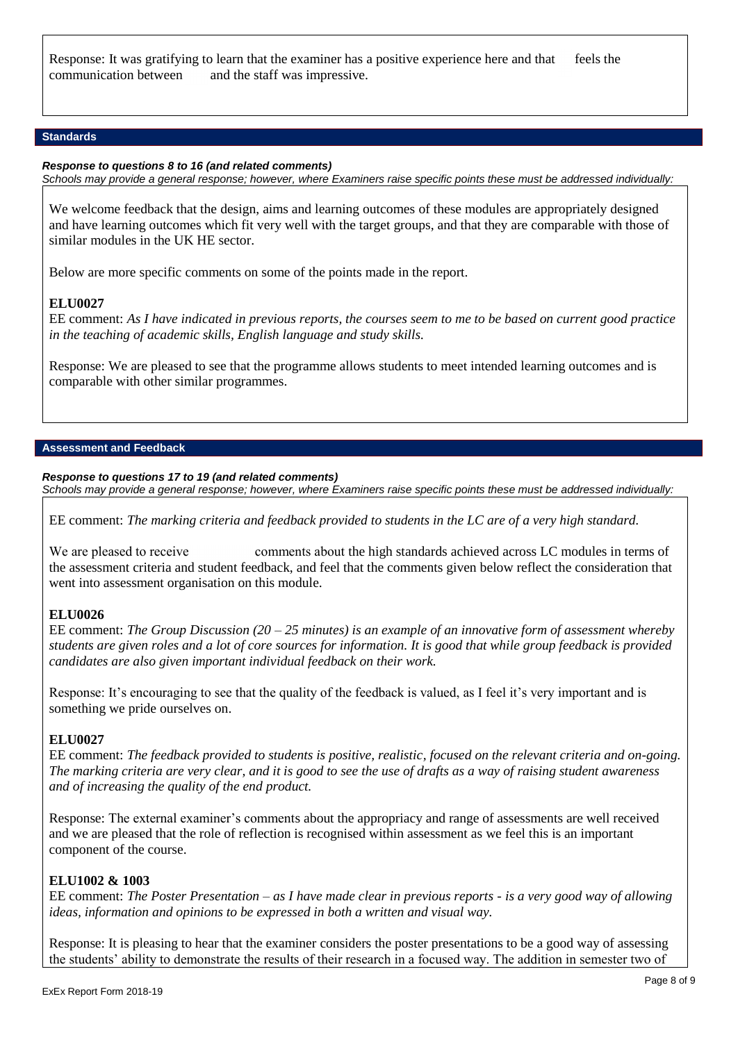Response: It was gratifying to learn that the examiner has a positive experience here and that feels the communication between and the staff was impressive.

### **Standards**

### *Response to questions 8 to 16 (and related comments)*

*Schools may provide a general response; however, where Examiners raise specific points these must be addressed individually:*

We welcome feedback that the design, aims and learning outcomes of these modules are appropriately designed and have learning outcomes which fit very well with the target groups, and that they are comparable with those of similar modules in the UK HE sector.

Below are more specific comments on some of the points made in the report.

### **ELU0027**

EE comment: *As I have indicated in previous reports, the courses seem to me to be based on current good practice in the teaching of academic skills, English language and study skills.*

Response: We are pleased to see that the programme allows students to meet intended learning outcomes and is comparable with other similar programmes.

### **Assessment and Feedback**

### *Response to questions 17 to 19 (and related comments)*

*Schools may provide a general response; however, where Examiners raise specific points these must be addressed individually:*

EE comment: *The marking criteria and feedback provided to students in the LC are of a very high standard.*

We are pleased to receive comments about the high standards achieved across LC modules in terms of the assessment criteria and student feedback, and feel that the comments given below reflect the consideration that went into assessment organisation on this module.

# **ELU0026**

EE comment: *The Group Discussion (20 – 25 minutes) is an example of an innovative form of assessment whereby students are given roles and a lot of core sources for information. It is good that while group feedback is provided candidates are also given important individual feedback on their work.*

Response: It's encouraging to see that the quality of the feedback is valued, as I feel it's very important and is something we pride ourselves on.

### **ELU0027**

EE comment: *The feedback provided to students is positive, realistic, focused on the relevant criteria and on-going. The marking criteria are very clear, and it is good to see the use of drafts as a way of raising student awareness and of increasing the quality of the end product.*

Response: The external examiner's comments about the appropriacy and range of assessments are well received and we are pleased that the role of reflection is recognised within assessment as we feel this is an important component of the course.

# **ELU1002 & 1003**

EE comment: *The Poster Presentation – as I have made clear in previous reports - is a very good way of allowing ideas, information and opinions to be expressed in both a written and visual way.*

Response: It is pleasing to hear that the examiner considers the poster presentations to be a good way of assessing the students' ability to demonstrate the results of their research in a focused way. The addition in semester two of